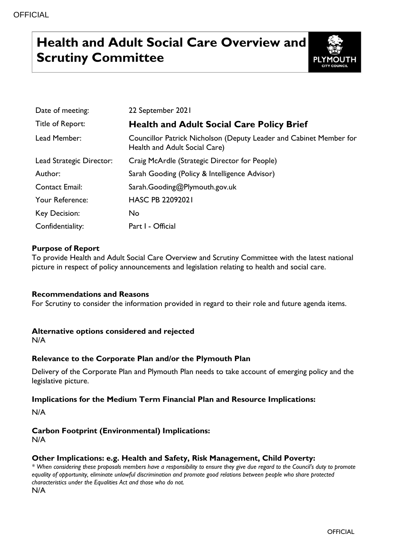# **Health and Adult Social Care Overview and Scrutiny Committee**



| Date of meeting:         | 22 September 2021                                                                                   |
|--------------------------|-----------------------------------------------------------------------------------------------------|
| Title of Report:         | <b>Health and Adult Social Care Policy Brief</b>                                                    |
| Lead Member:             | Councillor Patrick Nicholson (Deputy Leader and Cabinet Member for<br>Health and Adult Social Care) |
| Lead Strategic Director: | Craig McArdle (Strategic Director for People)                                                       |
| Author:                  | Sarah Gooding (Policy & Intelligence Advisor)                                                       |
| <b>Contact Email:</b>    | Sarah.Gooding@Plymouth.gov.uk                                                                       |
| Your Reference:          | <b>HASC PB 22092021</b>                                                                             |
| Key Decision:            | <b>No</b>                                                                                           |
| Confidentiality:         | Part I - Official                                                                                   |

# **Purpose of Report**

To provide Health and Adult Social Care Overview and Scrutiny Committee with the latest national picture in respect of policy announcements and legislation relating to health and social care.

### **Recommendations and Reasons**

For Scrutiny to consider the information provided in regard to their role and future agenda items.

### **Alternative options considered and rejected**

N/A

# **Relevance to the Corporate Plan and/or the Plymouth Plan**

Delivery of the Corporate Plan and Plymouth Plan needs to take account of emerging policy and the legislative picture.

### **Implications for the Medium Term Financial Plan and Resource Implications:**

N/A

# **Carbon Footprint (Environmental) Implications:**

N/A

# **Other Implications: e.g. Health and Safety, Risk Management, Child Poverty:**

*\* When considering these proposals members have a responsibility to ensure they give due regard to the Council's duty to promote equality of opportunity, eliminate unlawful discrimination and promote good relations between people who share protected characteristics under the Equalities Act and those who do not.*

N/A